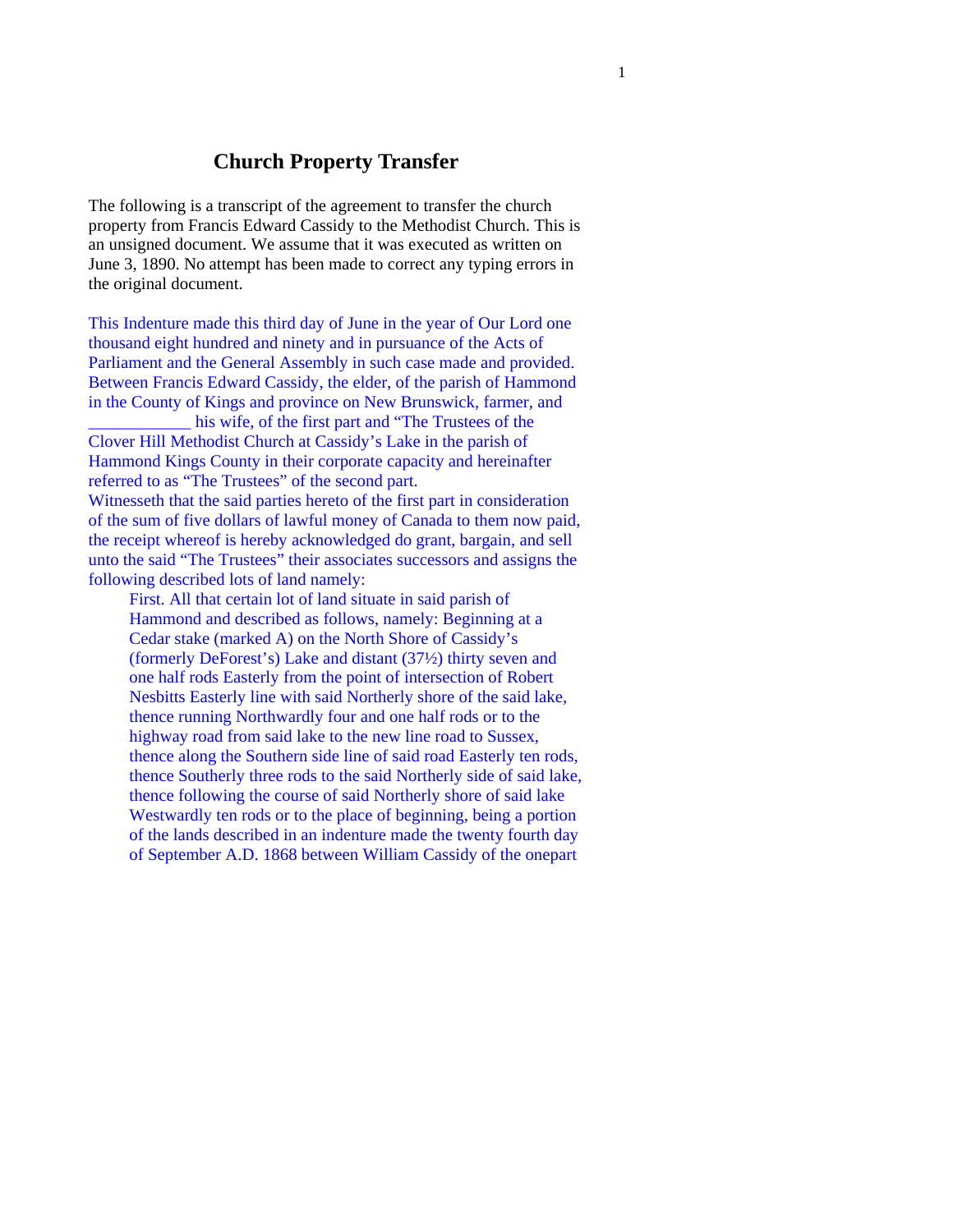## **Church Property Transfer**

The following is a transcript of the agreement to transfer the church property from Francis Edward Cassidy to the Methodist Church. This is an unsigned document. We assume that it was executed as written on June 3, 1890. No attempt has been made to correct any typing errors in the original document.

This Indenture made this third day of June in the year of Our Lord one thousand eight hundred and ninety and in pursuance of the Acts of Parliament and the General Assembly in such case made and provided. Between Francis Edward Cassidy, the elder, of the parish of Hammond in the County of Kings and province on New Brunswick, farmer, and his wife, of the first part and "The Trustees of the Clover Hill Methodist Church at Cassidy's Lake in the parish of Hammond Kings County in their corporate capacity and hereinafter referred to as "The Trustees" of the second part.

Witnesseth that the said parties hereto of the first part in consideration of the sum of five dollars of lawful money of Canada to them now paid, the receipt whereof is hereby acknowledged do grant, bargain, and sell unto the said "The Trustees" their associates successors and assigns the following described lots of land namely:

First. All that certain lot of land situate in said parish of Hammond and described as follows, namely: Beginning at a Cedar stake (marked A) on the North Shore of Cassidy's (formerly DeForest's) Lake and distant (37½) thirty seven and one half rods Easterly from the point of intersection of Robert Nesbitts Easterly line with said Northerly shore of the said lake, thence running Northwardly four and one half rods or to the highway road from said lake to the new line road to Sussex, thence along the Southern side line of said road Easterly ten rods, thence Southerly three rods to the said Northerly side of said lake, thence following the course of said Northerly shore of said lake Westwardly ten rods or to the place of beginning, being a portion of the lands described in an indenture made the twenty fourth day of September A.D. 1868 between William Cassidy of the onepart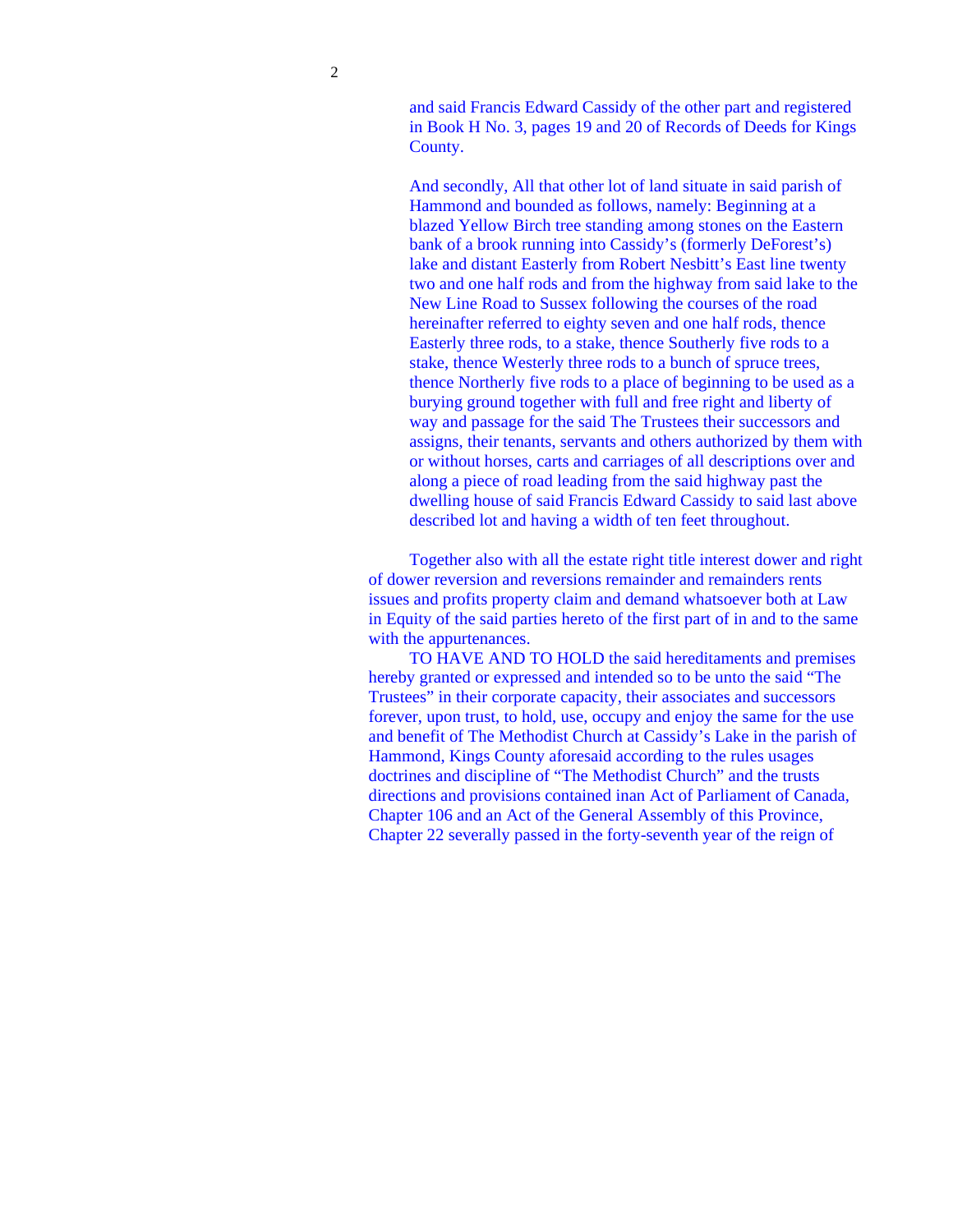and said Francis Edward Cassidy of the other part and registered in Book H No. 3, pages 19 and 20 of Records of Deeds for Kings County.

And secondly, All that other lot of land situate in said parish of Hammond and bounded as follows, namely: Beginning at a blazed Yellow Birch tree standing among stones on the Eastern bank of a brook running into Cassidy's (formerly DeForest's) lake and distant Easterly from Robert Nesbitt's East line twenty two and one half rods and from the highway from said lake to the New Line Road to Sussex following the courses of the road hereinafter referred to eighty seven and one half rods, thence Easterly three rods, to a stake, thence Southerly five rods to a stake, thence Westerly three rods to a bunch of spruce trees, thence Northerly five rods to a place of beginning to be used as a burying ground together with full and free right and liberty of way and passage for the said The Trustees their successors and assigns, their tenants, servants and others authorized by them with or without horses, carts and carriages of all descriptions over and along a piece of road leading from the said highway past the dwelling house of said Francis Edward Cassidy to said last above described lot and having a width of ten feet throughout.

Together also with all the estate right title interest dower and right of dower reversion and reversions remainder and remainders rents issues and profits property claim and demand whatsoever both at Law in Equity of the said parties hereto of the first part of in and to the same with the appurtenances.

TO HAVE AND TO HOLD the said hereditaments and premises hereby granted or expressed and intended so to be unto the said "The Trustees" in their corporate capacity, their associates and successors forever, upon trust, to hold, use, occupy and enjoy the same for the use and benefit of The Methodist Church at Cassidy's Lake in the parish of Hammond, Kings County aforesaid according to the rules usages doctrines and discipline of "The Methodist Church" and the trusts directions and provisions contained inan Act of Parliament of Canada, Chapter 106 and an Act of the General Assembly of this Province, Chapter 22 severally passed in the forty-seventh year of the reign of